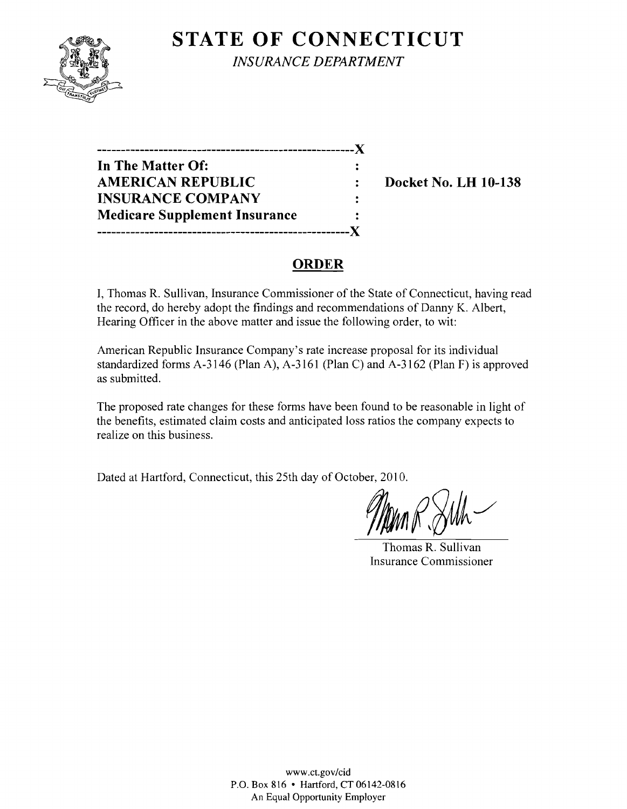

**STATE OF CONNECTICUT** *INSURANCE DEPARTMENT* 

**------------------------------------------------------)( In The Matter Of:**  AMERICAN REPUBLIC : Docket No. LH 10-138 **INSURANCE COMPANY Medicare Supplement Insurance -----------------------------------------------------)(** 

# **ORDER**

 $\ddot{\cdot}$ 

**I,** Thomas R. Sullivan, Insurance Commissioner of the State of Connecticut, having read the record, do hereby adopt the findings and recommendations of Danny K. Albert, Hearing Officer in the above matter and issue the following order, to wit:

American Republic Insurance Company's rate increase proposal for its individual standardized forms A-3146 (Plan A), A-3161 (Plan C) and A-3162 (Plan F) is approved as submitted.

The proposed rate changes for these forms have been found to be reasonable in light of the benefits, estimated claim costs and anticipated loss ratios the company expects to realize on this business.

Dated at Hartford, Connecticut, this 25th day of October, 2010.

Thomas R. Sullivan Insurance Commissioner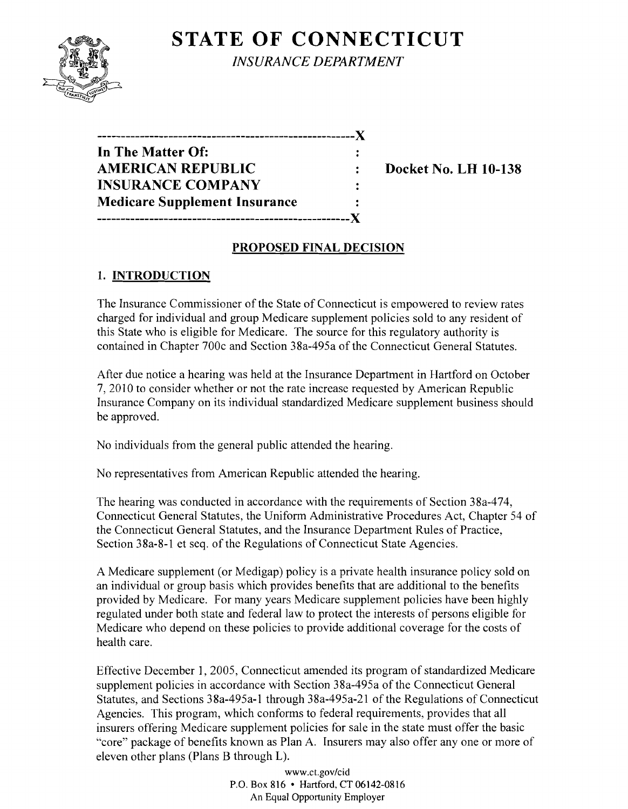# **STATE OF CONNECTICUT**



*INSURANCE DEPARTMENT* 

| ---------------                      |  |
|--------------------------------------|--|
| In The Matter Of:                    |  |
| <b>AMERICAN REPUBLIC</b>             |  |
| <b>INSURANCE COMPANY</b>             |  |
| <b>Medicare Supplement Insurance</b> |  |
| ------------                         |  |

**Docket No. LH 10-138** 

### **PROPOSED FINAL DECISION**

## **1. INTRODUCTION**

The Insurance Commissioner of the State of Connecticut is empowered to review rates charged for individual and group Medicare supplement policies sold to any resident of this State who is eligible for Medicare. The source for this regulatory authority is contained in Chapter 700c and Section 38a-495a of the Connecticut General Statutes.

After due notice a hearing was held at the Insurance Department in Hartford on October 7,2010 to consider whether or not the rate increase requested by American Republic Insurance Company on its individual standardized Medicare supplement business should be approved.

No individuals from the general public attended the hearing.

No representatives from American Republic attended the hearing.

The hearing was conducted in accordance with the requirements of Section 38a-474, Connecticut General Statutes, the Uniform Administrative Procedures Act, Chapter 54 of the Connecticut General Statutes, and the Insurance Department Rules of Practice, Section 38a-8-1 et seq. of the Regulations of Connecticut State Agencies.

A Medicare supplement (or Medigap) policy is a private health insurance policy sold on an individual or group basis which provides benefits that are additional to the benefits provided by Medicare. For many years Medicare supplement policies have been highly regulated under both state and federal law to protect the interests of persons eligible for Medicare who depend on these policies to provide additional coverage for the costs of health care.

Effective December 1,2005, Connecticut amended its program of standardized Medicare supplement policies in accordance with Section 38a-495a of the Connecticut General Statutes, and Sections 38a-495a-1 through 38a-495a-21 of the Regulations of Connecticut Agencies. This program, which conforms to federal requirements, provides that all insurers offering Medicare supplement policies for sale in the state must offer the basic "core" package of benefits known as Plan A. Insurers may also offer anyone or more of eleven other plans (Plans B through L).

> *www.ct.gov/cid*  P.O. Box 816 • Hartford.CT06142-0816 An Equal Opportunity Employer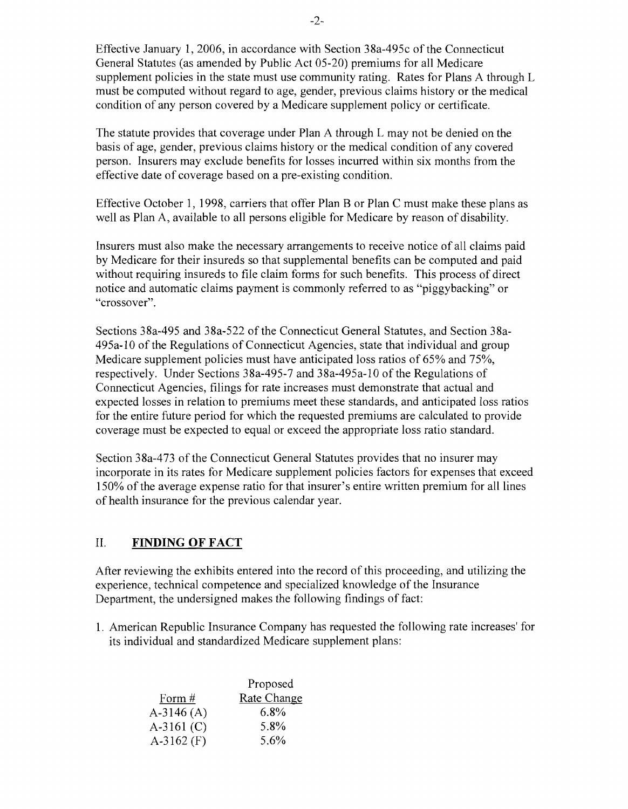Effective January 1,2006, in accordance with Section 38a-495c of the Connecticut General Statutes (as amended by Public Act 05-20) premiums for all Medicare supplement policies in the state must use community rating. Rates for Plans A through L must be computed without regard to age, gender, previous claims history or the medical condition of any person covered by a Medicare supplement policy or certificate.

The statute provides that coverage under Plan A through L may not be denied on the basis of age, gender, previous claims history or the medical condition of any covered person. Insurers may exclude benefits for losses incurred within six months from the effective date of coverage based on a pre-existing condition.

Effective October 1, 1998, carriers that offer Plan B or Plan C must make these plans as well as Plan A, available to all persons eligible for Medicare by reason of disability.

Insurers must also make the necessary arrangements to receive notice of all claims paid by Medicare for their insureds so that supplemental benefits can be computed and paid without requiring insureds to file claim forms for such benefits. This process of direct notice and automatic claims payment is commonly referred to as "piggybacking" or "crossover".

Sections 38a-495 and 38a-522 of the Connecticut General Statutes, and Section 38a-495a-l0 of the Regulations of Connecticut Agencies, state that individual and group Medicare supplement policies must have anticipated loss ratios of 65% and 75%, respectively. Under Sections 38a-495-7 and 38a-495a-l 0 of the Regulations of Connecticut Agencies, filings for rate increases must demonstrate that actual and expected losses in relation to premiums meet these standards, and anticipated loss ratios for the entire future period for which the requested premiums are calculated to provide coverage must be expected to equal or exceed the appropriate loss ratio standard.

Section 38a-473 of the Connecticut General Statutes provides that no insurer may incorporate in its rates for Medicare supplement policies factors for expenses that exceed 150% of the average expense ratio for that insurer's entire written premium for all lines of health insurance for the previous calendar year.

#### II. **FINDING OF FACT**

After reviewing the exhibits entered into the record of this proceeding, and utilizing the experience, technical competence and specialized knowledge of the Insurance Department, the undersigned makes the following findings of fact:

1. American Republic Insurance Company has requested the following rate increases' for its individual and standardized Medicare supplement plans:

|              | Proposed    |
|--------------|-------------|
| Form #       | Rate Change |
| $A-3146(A)$  | 6.8%        |
| $A-3161$ (C) | 5.8%        |
| $A-3162$ (F) | 5.6%        |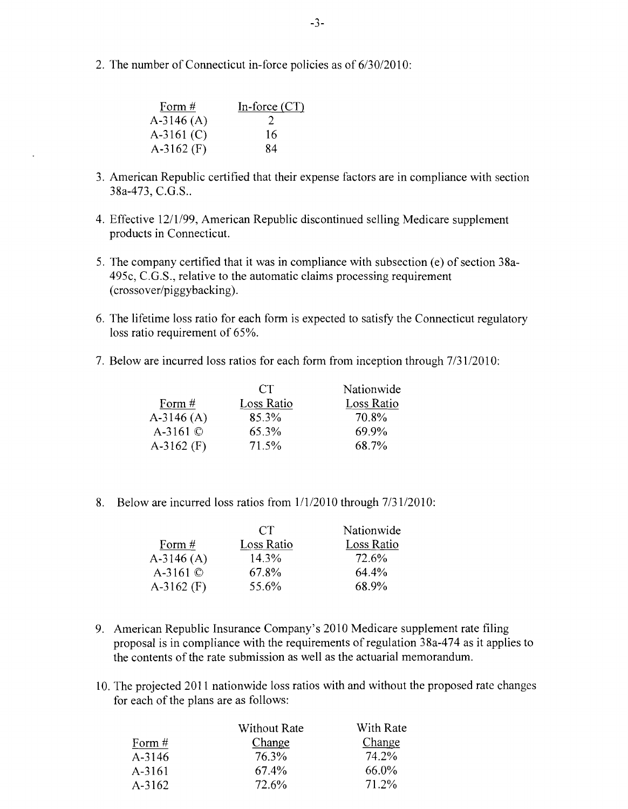2. The number of Connecticut in-force policies as of 6/30/2010:

| Form $#$     | In-force $(CT)$ |
|--------------|-----------------|
| $A-3146(A)$  | 2               |
| $A-3161$ (C) | 16              |
| $A-3162$ (F) | 84              |

- 3. American Republic certified that their expense factors are in compliance with section 38a-473, C.G.S..
- 4. Effective 12/1/99, American Republic discontinued selling Medicare supplement products in Connecticut.
- 5. The company certified that it was in compliance with subsection (e) of section 38a-495c, C.G.S., relative to the automatic claims processing requirement (crossover/piggybacking).
- 6. The lifetime loss ratio for each form is expected to satisfy the Connecticut regulatory loss ratio requirement of 65%.
- 7. Below are incurred loss ratios for each form from inception through  $7/31/2010$ :

|                | CT         | Nationwide |
|----------------|------------|------------|
| Form $#$       | Loss Ratio | Loss Ratio |
| $A-3146(A)$    | 85.3%      | 70.8%      |
| A-3161 $\circ$ | 65.3%      | 69.9%      |
| $A-3162$ (F)   | 71.5%      | 68.7%      |

8. Below are incurred loss ratios from  $1/1/2010$  through  $7/31/2010$ :

|                | CT.        | Nationwide |
|----------------|------------|------------|
| Form $#$       | Loss Ratio | Loss Ratio |
| $A-3146(A)$    | 14.3%      | 72.6%      |
| A-3161 $\circ$ | 67.8%      | 64.4%      |
| $A-3162$ (F)   | 55.6%      | 68.9%      |

- 9. American Republic Insurance Company's 2010 Medicare supplement rate filing proposal is in compliance with the requirements of regulation 38a-474 as it applies to the contents of the rate submission as well as the actuarial memorandum.
- 10. The projected 2011 nationwide loss ratios with and without the proposed rate changes for each of the plans are as follows:

| <b>Without Rate</b> | With Rate |
|---------------------|-----------|
| Change              | Change    |
| 76.3%               | 74.2%     |
| 67.4%               | 66.0%     |
| 72.6%               | 71.2%     |
|                     |           |